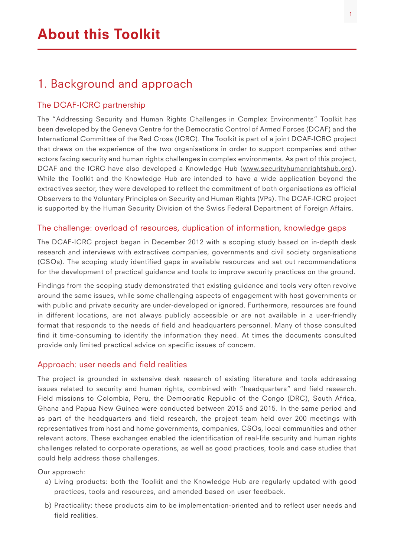# 1. Background and approach

### The DCAF-ICRC partnership

The "Addressing Security and Human Rights Challenges in Complex Environments" Toolkit has been developed by the Geneva Centre for the Democratic Control of Armed Forces (DCAF) and the International Committee of the Red Cross (ICRC). The Toolkit is part of a joint DCAF-ICRC project that draws on the experience of the two organisations in order to support companies and other actors facing security and human rights challenges in complex environments. As part of this project, DCAF and the ICRC have also developed a Knowledge Hub ([www.securityhumanrightshub.org](http://www.securityhumanrightshub.org)). While the Toolkit and the Knowledge Hub are intended to have a wide application beyond the extractives sector, they were developed to reflect the commitment of both organisations as official Observers to the Voluntary Principles on Security and Human Rights (VPs). The DCAF-ICRC project is supported by the Human Security Division of the Swiss Federal Department of Foreign Affairs.

#### The challenge: overload of resources, duplication of information, knowledge gaps

The DCAF-ICRC project began in December 2012 with a scoping study based on in-depth desk research and interviews with extractives companies, governments and civil society organisations (CSOs). The scoping study identified gaps in available resources and set out recommendations for the development of practical guidance and tools to improve security practices on the ground.

Findings from the scoping study demonstrated that existing guidance and tools very often revolve around the same issues, while some challenging aspects of engagement with host governments or with public and private security are under-developed or ignored. Furthermore, resources are found in different locations, are not always publicly accessible or are not available in a user-friendly format that responds to the needs of field and headquarters personnel. Many of those consulted find it time-consuming to identify the information they need. At times the documents consulted provide only limited practical advice on specific issues of concern.

#### Approach: user needs and field realities

The project is grounded in extensive desk research of existing literature and tools addressing issues related to security and human rights, combined with "headquarters" and field research. Field missions to Colombia, Peru, the Democratic Republic of the Congo (DRC), South Africa, Ghana and Papua New Guinea were conducted between 2013 and 2015. In the same period and as part of the headquarters and field research, the project team held over 200 meetings with representatives from host and home governments, companies, CSOs, local communities and other relevant actors. These exchanges enabled the identification of real-life security and human rights challenges related to corporate operations, as well as good practices, tools and case studies that could help address those challenges.

Our approach:

- a) Living products: both the Toolkit and the Knowledge Hub are regularly updated with good practices, tools and resources, and amended based on user feedback.
- b) Practicality: these products aim to be implementation-oriented and to reflect user needs and field realities.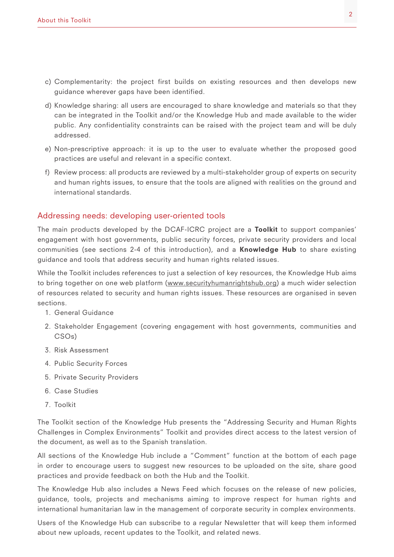- c) Complementarity: the project first builds on existing resources and then develops new guidance wherever gaps have been identified.
- d) Knowledge sharing: all users are encouraged to share knowledge and materials so that they can be integrated in the Toolkit and/or the Knowledge Hub and made available to the wider public. Any confidentiality constraints can be raised with the project team and will be duly addressed.
- e) Non-prescriptive approach: it is up to the user to evaluate whether the proposed good practices are useful and relevant in a specific context.
- f) Review process: all products are reviewed by a multi-stakeholder group of experts on security and human rights issues, to ensure that the tools are aligned with realities on the ground and international standards.

#### Addressing needs: developing user-oriented tools

The main products developed by the DCAF-ICRC project are a **Toolkit** to support companies' engagement with host governments, public security forces, private security providers and local communities (see sections 2-4 of this introduction), and a Knowledge Hub to share existing guidance and tools that address security and human rights related issues.

While the Toolkit includes references to just a selection of key resources, the Knowledge Hub aims to bring together on one web platform ([www.securityhumanrightshub.org](http://www.securityhumanrightshub.org/)) a much wider selection of resources related to security and human rights issues. These resources are organised in seven sections.

- 1. General Guidance
- 2. Stakeholder Engagement (covering engagement with host governments, communities and CSOs)
- 3. Risk Assessment
- 4. Public Security Forces
- 5. Private Security Providers
- 6. Case Studies
- 7. Toolkit

The Toolkit section of the Knowledge Hub presents the "Addressing Security and Human Rights Challenges in Complex Environments" Toolkit and provides direct access to the latest version of the document, as well as to the Spanish translation.

All sections of the Knowledge Hub include a "Comment" function at the bottom of each page in order to encourage users to suggest new resources to be uploaded on the site, share good practices and provide feedback on both the Hub and the Toolkit.

The Knowledge Hub also includes a News Feed which focuses on the release of new policies, guidance, tools, projects and mechanisms aiming to improve respect for human rights and international humanitarian law in the management of corporate security in complex environments.

Users of the Knowledge Hub can subscribe to a regular Newsletter that will keep them informed about new uploads, recent updates to the Toolkit, and related news.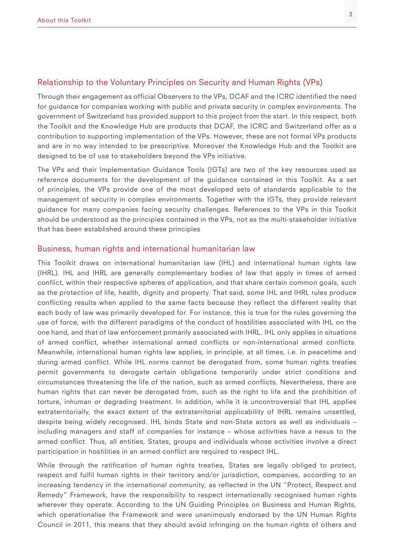#### Relationship to the Voluntary Principles on Security and Human Rights (VPs)

Through their engagement as official Observers to the VPs, DCAF and the ICRC identified the need for guidance for companies working with public and private security in complex environments. The government of Switzerland has provided support to this project from the start. In this respect, both the Toolkit and the Knowledge Hub are products that DCAF, the ICRC and Switzerland offer as a contribution to supporting implementation of the VPs. However, these are not formal VPs products and are in no way intended to be prescriptive. Moreover the Knowledge Hub and the Toolkit are designed to be of use to stakeholders beyond the VPs initiative.

The VPs and their Implementation Guidance Tools (IGTs) are two of the key resources used as reference documents for the development of the guidance contained in this Toolkit. As a set of principles, the VPs provide one of the most developed sets of standards applicable to the management of security in complex environments. Together with the IGTs, they provide relevant guidance for many companies facing security challenges. References to the VPs in this Toolkit should be understood as the principles contained in the VPs, not as the multi-stakeholder initiative that has been established around these principles

#### Business, human rights and international humanitarian law

This Toolkit draws on international humanitarian law (IHL) and international human rights law (IHRL). IHL and IHRL are generally complementary bodies of law that apply in times of armed conflict, within their respective spheres of application, and that share certain common goals, such as the protection of life, health, dignity and property. That said, some IHL and IHRL rules produce conflicting results when applied to the same facts because they reflect the different reality that each body of law was primarily developed for. For instance, this is true for the rules governing the use of force, with the different paradigms of the conduct of hostilities associated with IHL on the one hand, and that of law enforcement primarily associated with IHRL. IHL only applies in situations of armed conflict, whether international armed conflicts or non-international armed conflicts. Meanwhile, international human rights law applies, in principle, at all times, i.e. in peacetime and during armed conflict. While IHL norms cannot be derogated from, some human rights treaties permit governments to derogate certain obligations temporarily under strict conditions and circumstances threatening the life of the nation, such as armed conflicts. Nevertheless, there are human rights that can never be derogated from, such as the right to life and the prohibition of torture, inhuman or degrading treatment. In addition, while it is uncontroversial that IHL applies extraterritorially, the exact extent of the extraterritorial applicability of IHRL remains unsettled, despite being widely recognised. IHL binds State and non-State actors as well as individuals – including managers and staff of companies for instance – whose activities have a nexus to the armed conflict. Thus, all entities, States, groups and individuals whose activities involve a direct participation in hostilities in an armed conflict are required to respect IHL.

While through the ratification of human rights treaties, States are legally obliged to protect, respect and fulfil human rights in their territory and/or jurisdiction, companies, according to an increasing tendency in the international community, as reflected in the UN "Protect, Respect and Remedy" Framework, have the responsibility to respect internationally recognised human rights wherever they operate. According to the UN Guiding Principles on Business and Human Rights, which operationalise the Framework and were unanimously endorsed by the UN Human Rights Council in 2011, this means that they should avoid infringing on the human rights of others and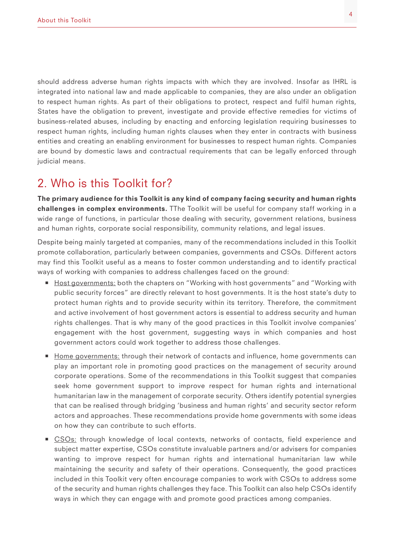should address adverse human rights impacts with which they are involved. Insofar as IHRL is integrated into national law and made applicable to companies, they are also under an obligation to respect human rights. As part of their obligations to protect, respect and fulfil human rights, States have the obligation to prevent, investigate and provide effective remedies for victims of business-related abuses, including by enacting and enforcing legislation requiring businesses to respect human rights, including human rights clauses when they enter in contracts with business entities and creating an enabling environment for businesses to respect human rights. Companies are bound by domestic laws and contractual requirements that can be legally enforced through judicial means.

## 2. Who is this Toolkit for?

The primary audience for this Toolkit is any kind of company facing security and human rights challenges in complex environments. The Toolkit will be useful for company staff working in a wide range of functions, in particular those dealing with security, government relations, business and human rights, corporate social responsibility, community relations, and legal issues.

Despite being mainly targeted at companies, many of the recommendations included in this Toolkit promote collaboration, particularly between companies, governments and CSOs. Different actors may find this Toolkit useful as a means to foster common understanding and to identify practical ways of working with companies to address challenges faced on the ground:

- Host governments: both the chapters on "Working with host governments" and "Working with public security forces" are directly relevant to host governments. It is the host state's duty to protect human rights and to provide security within its territory. Therefore, the commitment and active involvement of host government actors is essential to address security and human rights challenges. That is why many of the good practices in this Toolkit involve companies' engagement with the host government, suggesting ways in which companies and host government actors could work together to address those challenges.
- Home governments: through their network of contacts and influence, home governments can play an important role in promoting good practices on the management of security around corporate operations. Some of the recommendations in this Toolkit suggest that companies seek home government support to improve respect for human rights and international humanitarian law in the management of corporate security. Others identify potential synergies that can be realised through bridging 'business and human rights' and security sector reform actors and approaches. These recommendations provide home governments with some ideas on how they can contribute to such efforts.
- CSOs: through knowledge of local contexts, networks of contacts, field experience and subject matter expertise, CSOs constitute invaluable partners and/or advisers for companies wanting to improve respect for human rights and international humanitarian law while maintaining the security and safety of their operations. Consequently, the good practices included in this Toolkit very often encourage companies to work with CSOs to address some of the security and human rights challenges they face. This Toolkit can also help CSOs identify ways in which they can engage with and promote good practices among companies.